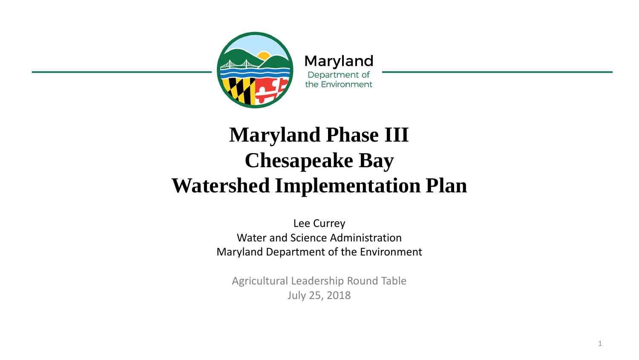

Maryland Department of the Environment

### **Maryland Phase III Chesapeake Bay Watershed Implementation Plan**

Lee Currey Water and Science Administration Maryland Department of the Environment

Agricultural Leadership Round Table July 25, 2018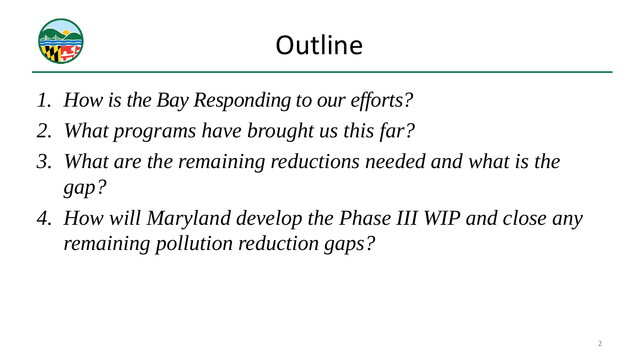

# Outline

- *1. How is the Bay Responding to our efforts?*
- *2. What programs have brought us this far?*
- *3. What are the remaining reductions needed and what is the gap?*
- *4. How will Maryland develop the Phase III WIP and close any remaining pollution reduction gaps?*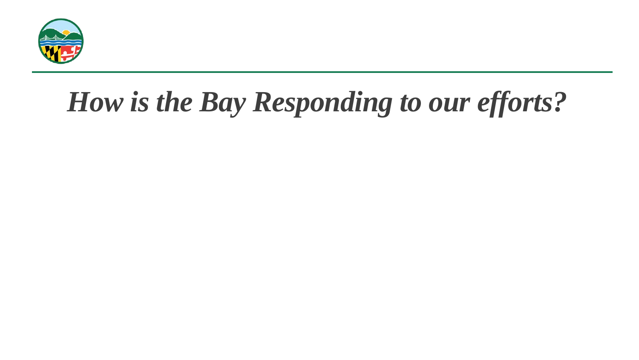

# *How is the Bay Responding to our efforts?*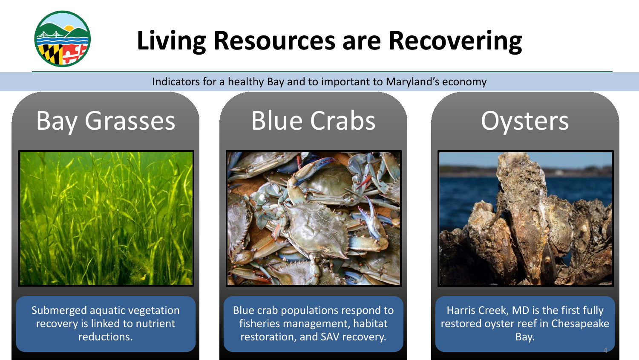

### **Living Resources are Recovering**

Indicators for a healthy Bay and to important to Maryland's economy

### Bay Grasses



Submerged aquatic vegetation recovery is linked to nutrient reductions.

### Blue Crabs



Blue crab populations respond to fisheries management, habitat restoration, and SAV recovery.

### **Oysters**



Harris Creek, MD is the first fully restored oyster reef in Chesapeake Bay.

4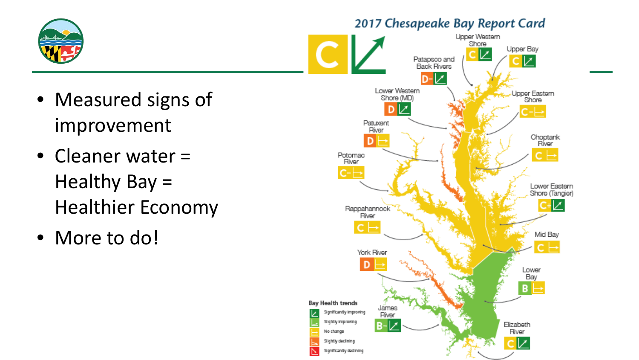

#### 2017 Chesapeake Bay Report Card

- Measured signs of improvement
- Cleaner water = Healthy Bay = Healthier Economy
- More to do!

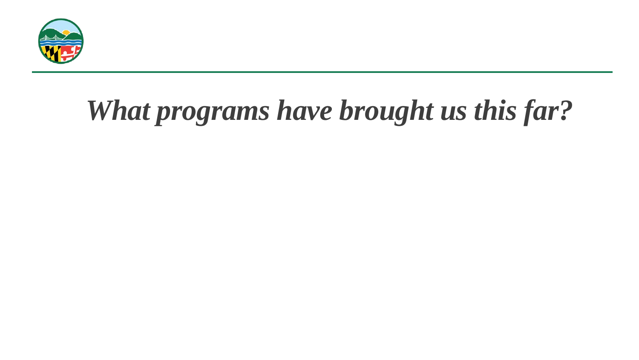

# *What programs have brought us this far?*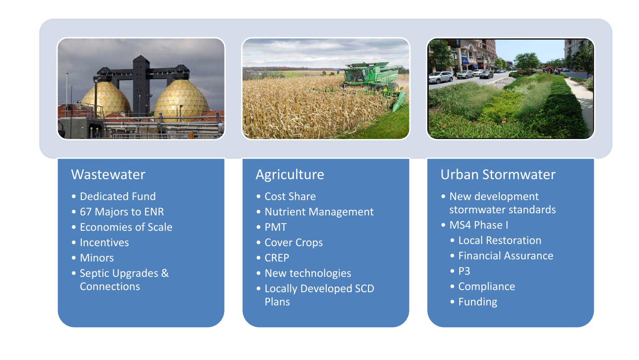





#### **Wastewater**

- Dedicated Fund
- 67 Majors to ENR
- Economies of Scale
- Incentives
- Minors
- Septic Upgrades & **Connections**

#### Agriculture

- Cost Share
- Nutrient Management
- PMT
- Cover Crops
- 
- CREP<br>• New technologies
- Locally Developed SCD Plans

#### Urban Stormwater

- New development stormwater standards
- 
- MS4 Phase I<br>• Local Restoration
	- Financial Assurance P3
	-
	- Compliance
	- Funding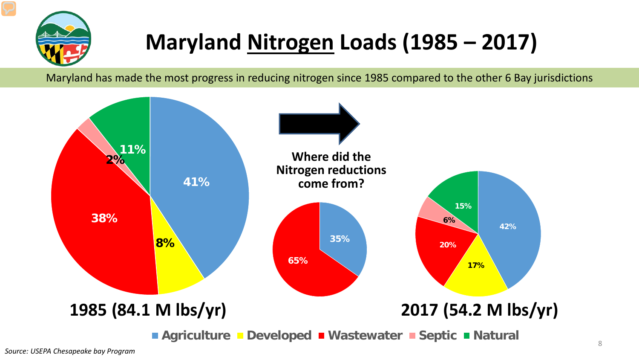

### **Maryland Nitrogen Loads (1985 – 2017)**

Maryland has made the most progress in reducing nitrogen since 1985 compared to the other 6 Bay jurisdictions

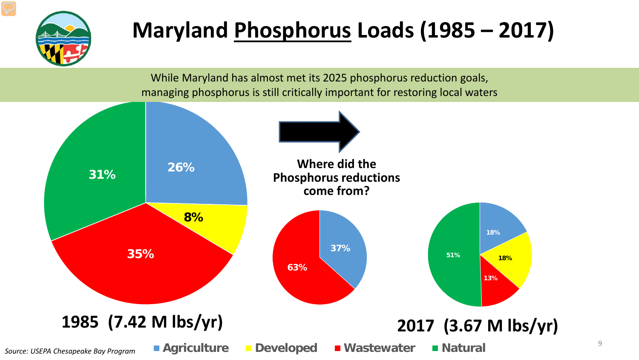

### **Maryland Phosphorus Loads (1985 – 2017)**

While Maryland has almost met its 2025 phosphorus reduction goals, managing phosphorus is still critically important for restoring local waters

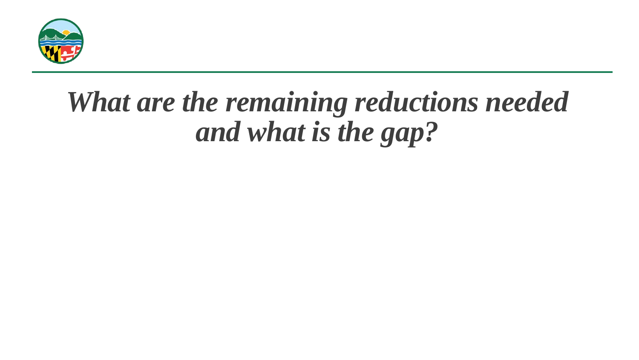

## *What are the remaining reductions needed and what is the gap?*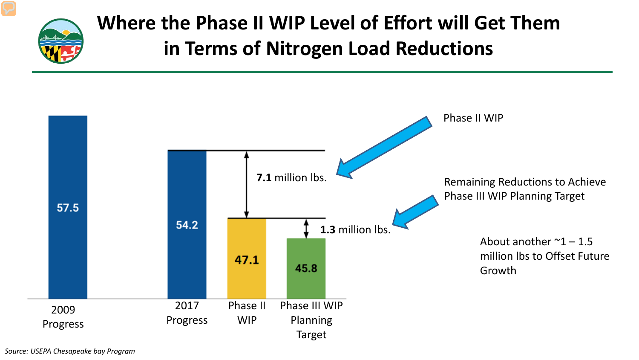

### **Where the Phase II WIP Level of Effort will Get Them in Terms of Nitrogen Load Reductions**



*Source: USEPA Chesapeake bay Program*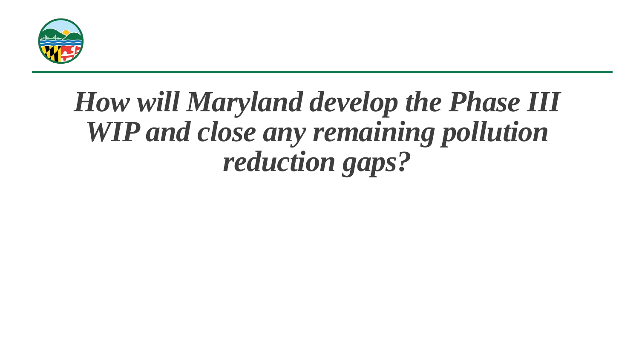

### *How will Maryland develop the Phase III WIP and close any remaining pollution reduction gaps?*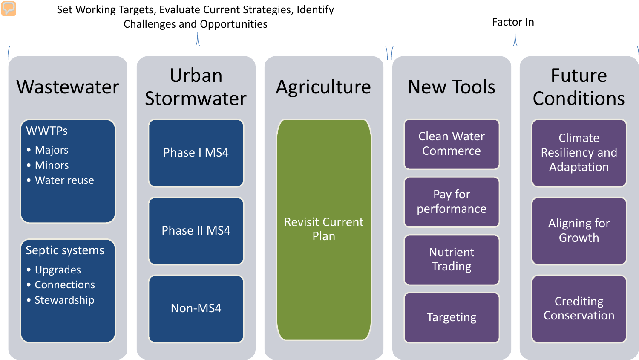Set Working Targets, Evaluate Current Strategies, Identify Challenges and Opportunities **Factor In** Energy and Opportunities **Factor In** 

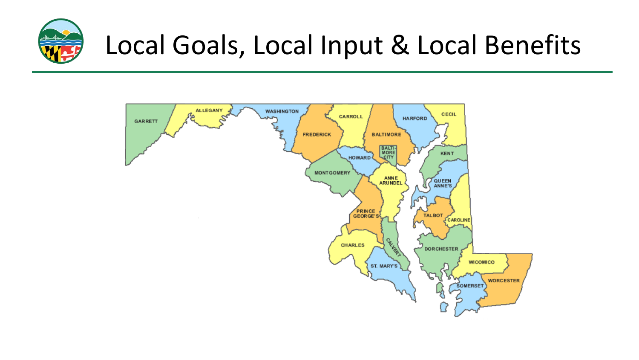

## Local Goals, Local Input & Local Benefits